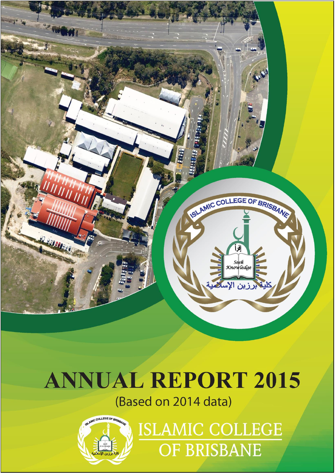

# **ANNUAL REPORT 2015**

(Based on 2014 data)



**ISLAMIC COLLEGE OF BRISBANE**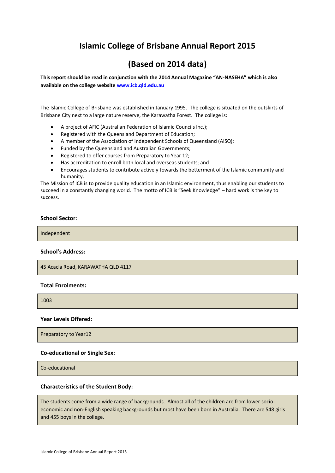# **Islamic College of Brisbane Annual Report 2015**

# **(Based on 2014 data)**

**This report should be read in conjunction with the 2014 Annual Magazine "AN-NASEHA" which is also available on the college websit[e www.icb.qld.edu.au](http://www.icb.qld.edu.au/)**

The Islamic College of Brisbane was established in January 1995. The college is situated on the outskirts of Brisbane City next to a large nature reserve, the Karawatha Forest. The college is:

- A project of AFIC (Australian Federation of Islamic Councils Inc.);
- Registered with the Queensland Department of Education;
- A member of the Association of Independent Schools of Queensland (AISQ);
- Funded by the Queensland and Australian Governments;
- Registered to offer courses from Preparatory to Year 12;
- Has accreditation to enroll both local and overseas students; and
- Encourages students to contribute actively towards the betterment of the Islamic community and humanity.

The Mission of ICB is to provide quality education in an Islamic environment, thus enabling our students to succeed in a constantly changing world. The motto of ICB is "Seek Knowledge" – hard work is the key to success.

# **School Sector:**

Independent

#### **School's Address:**

45 Acacia Road, KARAWATHA QLD 4117

#### **Total Enrolments:**

1003

#### **Year Levels Offered:**

Preparatory to Year12

#### **Co-educational or Single Sex:**

Co-educational

#### **Characteristics of the Student Body:**

The students come from a wide range of backgrounds. Almost all of the children are from lower socioeconomic and non-English speaking backgrounds but most have been born in Australia. There are 548 girls and 455 boys in the college.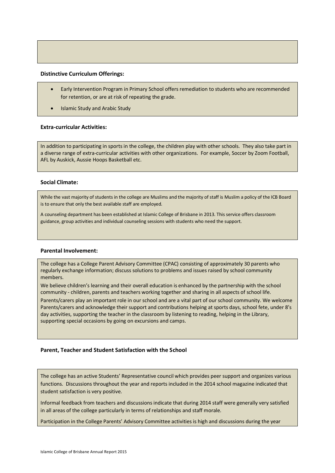#### **Distinctive Curriculum Offerings:**

- Early Intervention Program in Primary School offers remediation to students who are recommended for retention, or are at risk of repeating the grade.
- Islamic Study and Arabic Study

#### **Extra-curricular Activities:**

In addition to participating in sports in the college, the children play with other schools. They also take part in a diverse range of extra-curricular activities with other organizations. For example, Soccer by Zoom Football, AFL by Auskick, Aussie Hoops Basketball etc.

#### **Social Climate:**

While the vast majority of students in the college are Muslims and the majority of staff is Muslim a policy of the ICB Board is to ensure that only the best available staff are employed.

A counseling department has been established at Islamic College of Brisbane in 2013. This service offers classroom guidance, group activities and individual counseling sessions with students who need the support.

#### **Parental Involvement:**

The college has a College Parent Advisory Committee (CPAC) consisting of approximately 30 parents who regularly exchange information; discuss solutions to problems and issues raised by school community members.

We believe children's learning and their overall education is enhanced by the partnership with the school community - children, parents and teachers working together and sharing in all aspects of school life.

Parents/carers play an important role in our school and are a vital part of our school community. We welcome Parents/carers and acknowledge their support and contributions helping at sports days, school fete, under 8's day activities, supporting the teacher in the classroom by listening to reading, helping in the Library, supporting special occasions by going on excursions and camps.

#### **Parent, Teacher and Student Satisfaction with the School**

The college has an active Students' Representative council which provides peer support and organizes various functions. Discussions throughout the year and reports included in the 2014 school magazine indicated that student satisfaction is very positive.

Informal feedback from teachers and discussions indicate that during 2014 staff were generally very satisfied in all areas of the college particularly in terms of relationships and staff morale.

Participation in the College Parents' Advisory Committee activities is high and discussions during the year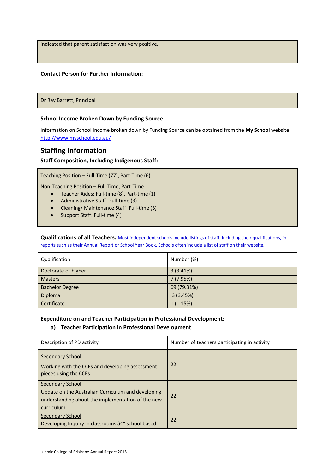indicated that parent satisfaction was very positive.

#### **Contact Person for Further Information:**

Dr Ray Barrett, Principal

#### **School Income Broken Down by Funding Source**

Information on School Income broken down by Funding Source can be obtained from the **My School** website <http://www.myschool.edu.au/>

# **Staffing Information**

#### **Staff Composition, Including Indigenous Staff:**

Teaching Position – Full-Time (77), Part-Time (6)

Non-Teaching Position – Full-Time, Part-Time

- Teacher Aides: Full-time (8), Part-time (1)
- Administrative Staff: Full-time (3)
- Cleaning/ Maintenance Staff: Full-time (3)
- Support Staff: Full-time (4)

**Qualifications of all Teachers:** Most independent schools include listings of staff, including their qualifications, in reports such as their Annual Report or School Year Book. Schools often include a list of staff on their website.

| Qualification          | Number (%)  |
|------------------------|-------------|
| Doctorate or higher    | 3(3.41%)    |
| <b>Masters</b>         | 7(7.95%)    |
| <b>Bachelor Degree</b> | 69 (79.31%) |
| Diploma                | 3(3.45%)    |
| Certificate            | 1(1.15%)    |

#### **Expenditure on and Teacher Participation in Professional Development:**

#### **a) Teacher Participation in Professional Development**

| Description of PD activity                                                                                                                       | Number of teachers participating in activity |
|--------------------------------------------------------------------------------------------------------------------------------------------------|----------------------------------------------|
| <b>Secondary School</b><br>Working with the CCEs and developing assessment<br>pieces using the CCEs                                              | 22                                           |
| <b>Secondary School</b><br>Update on the Australian Curriculum and developing<br>understanding about the implementation of the new<br>curriculum | 22                                           |
| Secondary School<br>Developing Inquiry in classrooms â€" school based                                                                            | 22                                           |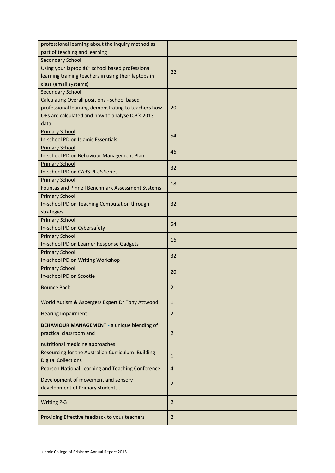| professional learning about the Inquiry method as    |                |
|------------------------------------------------------|----------------|
| part of teaching and learning                        |                |
| <b>Secondary School</b>                              |                |
| Using your laptop â€" school based professional      |                |
| learning training teachers in using their laptops in | 22             |
| class (email systems)                                |                |
| <b>Secondary School</b>                              |                |
| Calculating Overall positions - school based         |                |
| professional learning demonstrating to teachers how  | 20             |
| OPs are calculated and how to analyse ICB's 2013     |                |
| data                                                 |                |
| <b>Primary School</b>                                |                |
| In-school PD on Islamic Essentials                   | 54             |
| <b>Primary School</b>                                |                |
| In-school PD on Behaviour Management Plan            | 46             |
| <b>Primary School</b>                                |                |
| In-school PD on CARS PLUS Series                     | 32             |
| <b>Primary School</b>                                |                |
| Fountas and Pinnell Benchmark Assessment Systems     | 18             |
| <b>Primary School</b>                                |                |
| In-school PD on Teaching Computation through         | 32             |
|                                                      |                |
| strategies                                           |                |
| <b>Primary School</b>                                | 54             |
| In-school PD on Cybersafety                          |                |
| <b>Primary School</b>                                | 16             |
| In-school PD on Learner Response Gadgets             |                |
| <b>Primary School</b>                                | 32             |
| In-school PD on Writing Workshop                     |                |
| <b>Primary School</b>                                | 20             |
| In-school PD on Scootle                              |                |
| <b>Bounce Back!</b>                                  | $\overline{2}$ |
|                                                      |                |
| World Autism & Aspergers Expert Dr Tony Attwood      | $\mathbf{1}$   |
| <b>Hearing Impairment</b>                            | $\overline{2}$ |
|                                                      |                |
| <b>BEHAVIOUR MANAGEMENT - a unique blending of</b>   |                |
| practical classroom and                              | $\overline{2}$ |
| nutritional medicine approaches                      |                |
| Resourcing for the Australian Curriculum: Building   |                |
| <b>Digital Collections</b>                           | $\mathbf{1}$   |
| Pearson National Learning and Teaching Conference    | $\overline{4}$ |
|                                                      |                |
| Development of movement and sensory                  | $\overline{2}$ |
| development of Primary students'.                    |                |
|                                                      |                |
| <b>Writing P-3</b>                                   | $\overline{2}$ |
|                                                      |                |
| Providing Effective feedback to your teachers        | $\overline{2}$ |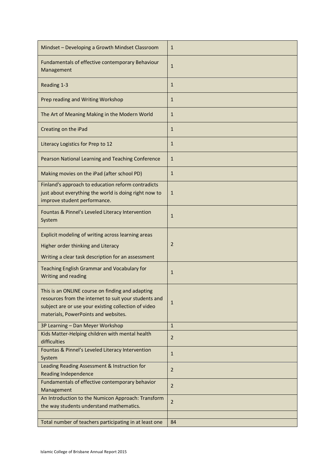| Mindset - Developing a Growth Mindset Classroom                                                                                                                                                           | $\mathbf{1}$   |
|-----------------------------------------------------------------------------------------------------------------------------------------------------------------------------------------------------------|----------------|
| Fundamentals of effective contemporary Behaviour<br>Management                                                                                                                                            | $\mathbf{1}$   |
| Reading 1-3                                                                                                                                                                                               | $\mathbf{1}$   |
| Prep reading and Writing Workshop                                                                                                                                                                         | $\mathbf{1}$   |
| The Art of Meaning Making in the Modern World                                                                                                                                                             | 1              |
| Creating on the iPad                                                                                                                                                                                      | $\mathbf{1}$   |
| Literacy Logistics for Prep to 12                                                                                                                                                                         | $\mathbf{1}$   |
| Pearson National Learning and Teaching Conference                                                                                                                                                         | $\mathbf{1}$   |
| Making movies on the iPad (after school PD)                                                                                                                                                               | $\mathbf{1}$   |
| Finland's approach to education reform contradicts<br>just about everything the world is doing right now to<br>improve student performance.                                                               | $\mathbf{1}$   |
| Fountas & Pinnel's Leveled Literacy Intervention<br>System                                                                                                                                                | 1              |
| Explicit modeling of writing across learning areas                                                                                                                                                        |                |
| Higher order thinking and Literacy                                                                                                                                                                        | 2              |
| Writing a clear task description for an assessment                                                                                                                                                        |                |
| Teaching English Grammar and Vocabulary for<br>Writing and reading                                                                                                                                        | 1              |
| This is an ONLINE course on finding and adapting<br>resources from the internet to suit your students and<br>subject are or use your existing collection of video<br>materials, PowerPoints and websites. | $\mathbf{1}$   |
| 3P Learning - Dan Meyer Workshop                                                                                                                                                                          | $\mathbf{1}$   |
| Kids Matter-Helping children with mental health<br>difficulties                                                                                                                                           | $\overline{2}$ |
| Fountas & Pinnel's Leveled Literacy Intervention<br>System                                                                                                                                                | $\mathbf{1}$   |
| Leading Reading Assessment & Instruction for<br><b>Reading Independence</b>                                                                                                                               | $\overline{2}$ |
| Fundamentals of effective contemporary behavior<br>Management                                                                                                                                             | $\overline{2}$ |
| An Introduction to the Numicon Approach: Transform<br>the way students understand mathematics.                                                                                                            | $\overline{2}$ |
| Total number of teachers participating in at least one                                                                                                                                                    | 84             |
|                                                                                                                                                                                                           |                |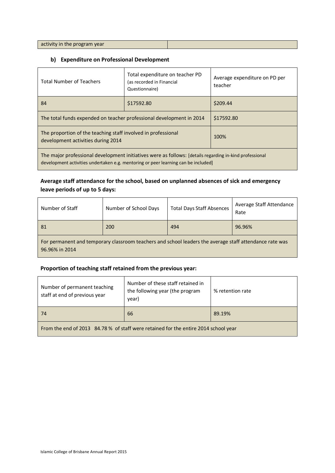activity in the program year

# **b) Expenditure on Professional Development**

| <b>Total Number of Teachers</b>                                                                                                                                                              | Total expenditure on teacher PD<br>(as recorded in Financial<br>Questionnaire) | Average expenditure on PD per<br>teacher |
|----------------------------------------------------------------------------------------------------------------------------------------------------------------------------------------------|--------------------------------------------------------------------------------|------------------------------------------|
| 84                                                                                                                                                                                           | \$17592.80                                                                     | \$209.44                                 |
| The total funds expended on teacher professional development in 2014                                                                                                                         |                                                                                | \$17592.80                               |
| The proportion of the teaching staff involved in professional<br>development activities during 2014                                                                                          |                                                                                | 100%                                     |
| The major professional development initiatives were as follows: [details regarding in-kind professional<br>development activities undertaken e.g. mentoring or peer learning can be included |                                                                                |                                          |

# **Average staff attendance for the school, based on unplanned absences of sick and emergency leave periods of up to 5 days:**

| Number of Staff                                                                                                           | Number of School Days | <b>Total Days Staff Absences</b> | Average Staff Attendance<br>Rate |
|---------------------------------------------------------------------------------------------------------------------------|-----------------------|----------------------------------|----------------------------------|
| 81                                                                                                                        | 200                   | 494                              | 96.96%                           |
| For permanent and temporary classroom teachers and school leaders the average staff attendance rate was<br>96.96% in 2014 |                       |                                  |                                  |

# **Proportion of teaching staff retained from the previous year:**

| Number of permanent teaching<br>staff at end of previous year                       | Number of these staff retained in<br>the following year (the program<br>year) | % retention rate |  |
|-------------------------------------------------------------------------------------|-------------------------------------------------------------------------------|------------------|--|
| 74                                                                                  | 66                                                                            | 89.19%           |  |
| From the end of 2013 84.78 % of staff were retained for the entire 2014 school year |                                                                               |                  |  |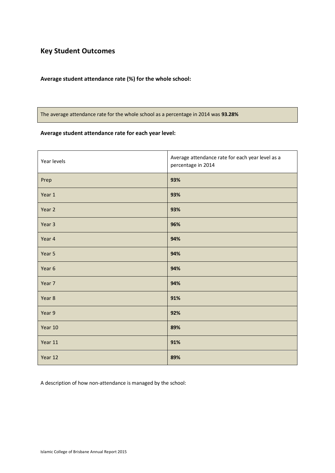# **Key Student Outcomes**

# **Average student attendance rate (%) for the whole school:**

The average attendance rate for the whole school as a percentage in 2014 was **93.28%**

# **Average student attendance rate for each year level:**

| Year levels | Average attendance rate for each year level as a<br>percentage in 2014 |
|-------------|------------------------------------------------------------------------|
| Prep        | 93%                                                                    |
| Year 1      | 93%                                                                    |
| Year 2      | 93%                                                                    |
| Year 3      | 96%                                                                    |
| Year 4      | 94%                                                                    |
| Year 5      | 94%                                                                    |
| Year 6      | 94%                                                                    |
| Year 7      | 94%                                                                    |
| Year 8      | 91%                                                                    |
| Year 9      | 92%                                                                    |
| Year 10     | 89%                                                                    |
| Year 11     | 91%                                                                    |
| Year 12     | 89%                                                                    |

A description of how non-attendance is managed by the school: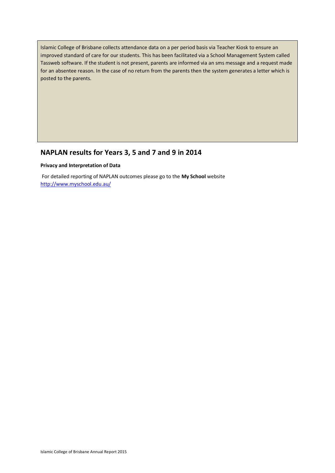Islamic College of Brisbane collects attendance data on a per period basis via Teacher Kiosk to ensure an improved standard of care for our students. This has been facilitated via a School Management System called Tassweb software. If the student is not present, parents are informed via an sms message and a request made for an absentee reason. In the case of no return from the parents then the system generates a letter which is posted to the parents.

# **NAPLAN results for Years 3, 5 and 7 and 9 in 2014**

#### **Privacy and Interpretation of Data**

For detailed reporting of NAPLAN outcomes please go to the **My School** website <http://www.myschool.edu.au/>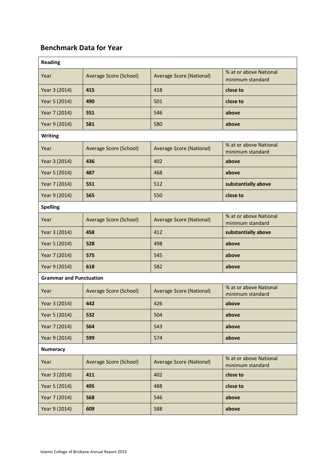# **Benchmark Data for Year**

| <b>Reading</b>                 |                        |                                 |                                            |
|--------------------------------|------------------------|---------------------------------|--------------------------------------------|
| Year                           | Average Score (School) | Average Score (National)        | % at or above National<br>minimum standard |
| Year 3 (2014)                  | 415                    | 418                             | close to                                   |
| Year 5 (2014)                  | 490                    | 501                             | close to                                   |
| Year 7 (2014)                  | 551                    | 546                             | above                                      |
| Year 9 (2014)                  | 581                    | 580                             | above                                      |
| <b>Writing</b>                 |                        |                                 |                                            |
| Year                           | Average Score (School) | Average Score (National)        | % at or above National<br>minimum standard |
| Year 3 (2014)                  | 436                    | 402                             | above                                      |
| Year 5 (2014)                  | 487                    | 468                             | above                                      |
| Year 7 (2014)                  | 551                    | 512                             | substantially above                        |
| Year 9 (2014)                  | 565                    | 550                             | close to                                   |
| <b>Spelling</b>                |                        |                                 |                                            |
| Year                           | Average Score (School) | Average Score (National)        | % at or above National<br>minimum standard |
| Year 3 (2014)                  | 458                    | 412                             | substantially above                        |
| Year 5 (2014)                  | 528                    | 498                             | above                                      |
| Year 7 (2014)                  | 575                    | 545                             | above                                      |
| Year 9 (2014)                  | 618                    | 582                             | above                                      |
| <b>Grammar and Punctuation</b> |                        |                                 |                                            |
| Year                           | Average Score (School) | <b>Average Score (National)</b> | % at or above National<br>minimum standard |
| Year 3 (2014)                  | 442                    | 426                             | above                                      |
| Year 5 (2014)                  | 532                    | 504                             | above                                      |
| Year 7 (2014)                  | 564                    | 543                             | above                                      |
| Year 9 (2014)                  | 599                    | 574                             | above                                      |
| <b>Numeracy</b>                |                        |                                 |                                            |
| Year                           | Average Score (School) | <b>Average Score (National)</b> | % at or above National<br>minimum standard |
| Year 3 (2014)                  | 411                    | 402                             | close to                                   |
| Year 5 (2014)                  | 495                    | 488                             | close to                                   |
| Year 7 (2014)                  | 568                    | 546                             | above                                      |
| Year 9 (2014)                  | 609                    | 588                             | above                                      |